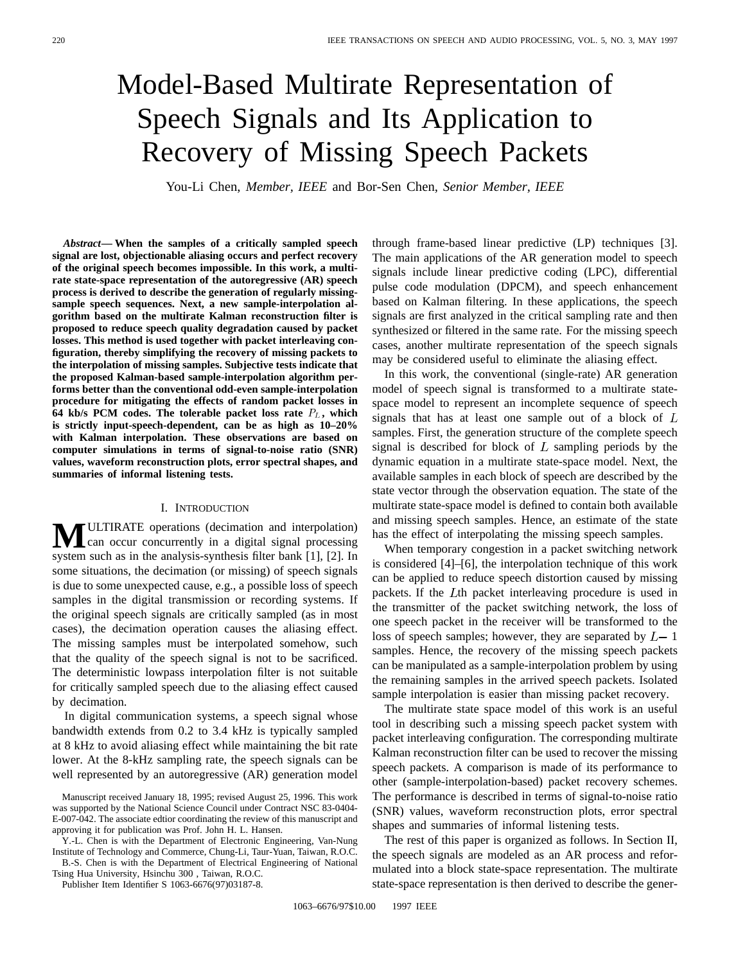# Model-Based Multirate Representation of Speech Signals and Its Application to Recovery of Missing Speech Packets

You-Li Chen, *Member, IEEE* and Bor-Sen Chen, *Senior Member, IEEE*

*Abstract—* **When the samples of a critically sampled speech signal are lost, objectionable aliasing occurs and perfect recovery of the original speech becomes impossible. In this work, a multirate state-space representation of the autoregressive (AR) speech process is derived to describe the generation of regularly missingsample speech sequences. Next, a new sample-interpolation algorithm based on the multirate Kalman reconstruction filter is proposed to reduce speech quality degradation caused by packet losses. This method is used together with packet interleaving configuration, thereby simplifying the recovery of missing packets to the interpolation of missing samples. Subjective tests indicate that the proposed Kalman-based sample-interpolation algorithm performs better than the conventional odd-even sample-interpolation procedure for mitigating the effects of random packet losses in 64 kb/s PCM codes. The tolerable packet loss rate**  $P<sub>L</sub>$ , which **is strictly input-speech-dependent, can be as high as 10–20% with Kalman interpolation. These observations are based on computer simulations in terms of signal-to-noise ratio (SNR) values, waveform reconstruction plots, error spectral shapes, and summaries of informal listening tests.**

#### I. INTRODUCTION

**MULTIRATE** operations (decimation and interpolation)<br>can occur concurrently in a digital signal processing system such as in the analysis-synthesis filter bank [1], [2]. In some situations, the decimation (or missing) of speech signals is due to some unexpected cause, e.g., a possible loss of speech samples in the digital transmission or recording systems. If the original speech signals are critically sampled (as in most cases), the decimation operation causes the aliasing effect. The missing samples must be interpolated somehow, such that the quality of the speech signal is not to be sacrificed. The deterministic lowpass interpolation filter is not suitable for critically sampled speech due to the aliasing effect caused by decimation.

In digital communication systems, a speech signal whose bandwidth extends from 0.2 to 3.4 kHz is typically sampled at 8 kHz to avoid aliasing effect while maintaining the bit rate lower. At the 8-kHz sampling rate, the speech signals can be well represented by an autoregressive (AR) generation model

Y.-L. Chen is with the Department of Electronic Engineering, Van-Nung Institute of Technology and Commerce, Chung-Li, Taur-Yuan, Taiwan, R.O.C. B.-S. Chen is with the Department of Electrical Engineering of National

Tsing Hua University, Hsinchu 300 , Taiwan, R.O.C.

Publisher Item Identifier S 1063-6676(97)03187-8.

through frame-based linear predictive (LP) techniques [3]. The main applications of the AR generation model to speech signals include linear predictive coding (LPC), differential pulse code modulation (DPCM), and speech enhancement based on Kalman filtering. In these applications, the speech signals are first analyzed in the critical sampling rate and then synthesized or filtered in the same rate. For the missing speech cases, another multirate representation of the speech signals may be considered useful to eliminate the aliasing effect.

In this work, the conventional (single-rate) AR generation model of speech signal is transformed to a multirate statespace model to represent an incomplete sequence of speech signals that has at least one sample out of a block of  $L$ samples. First, the generation structure of the complete speech signal is described for block of  $L$  sampling periods by the dynamic equation in a multirate state-space model. Next, the available samples in each block of speech are described by the state vector through the observation equation. The state of the multirate state-space model is defined to contain both available and missing speech samples. Hence, an estimate of the state has the effect of interpolating the missing speech samples.

When temporary congestion in a packet switching network is considered [4]–[6], the interpolation technique of this work can be applied to reduce speech distortion caused by missing packets. If the Lth packet interleaving procedure is used in the transmitter of the packet switching network, the loss of one speech packet in the receiver will be transformed to the loss of speech samples; however, they are separated by  $L - 1$ samples. Hence, the recovery of the missing speech packets can be manipulated as a sample-interpolation problem by using the remaining samples in the arrived speech packets. Isolated sample interpolation is easier than missing packet recovery.

The multirate state space model of this work is an useful tool in describing such a missing speech packet system with packet interleaving configuration. The corresponding multirate Kalman reconstruction filter can be used to recover the missing speech packets. A comparison is made of its performance to other (sample-interpolation-based) packet recovery schemes. The performance is described in terms of signal-to-noise ratio (SNR) values, waveform reconstruction plots, error spectral shapes and summaries of informal listening tests.

The rest of this paper is organized as follows. In Section II, the speech signals are modeled as an AR process and reformulated into a block state-space representation. The multirate state-space representation is then derived to describe the gener-

Manuscript received January 18, 1995; revised August 25, 1996. This work was supported by the National Science Council under Contract NSC 83-0404- E-007-042. The associate edtior coordinating the review of this manuscript and approving it for publication was Prof. John H. L. Hansen.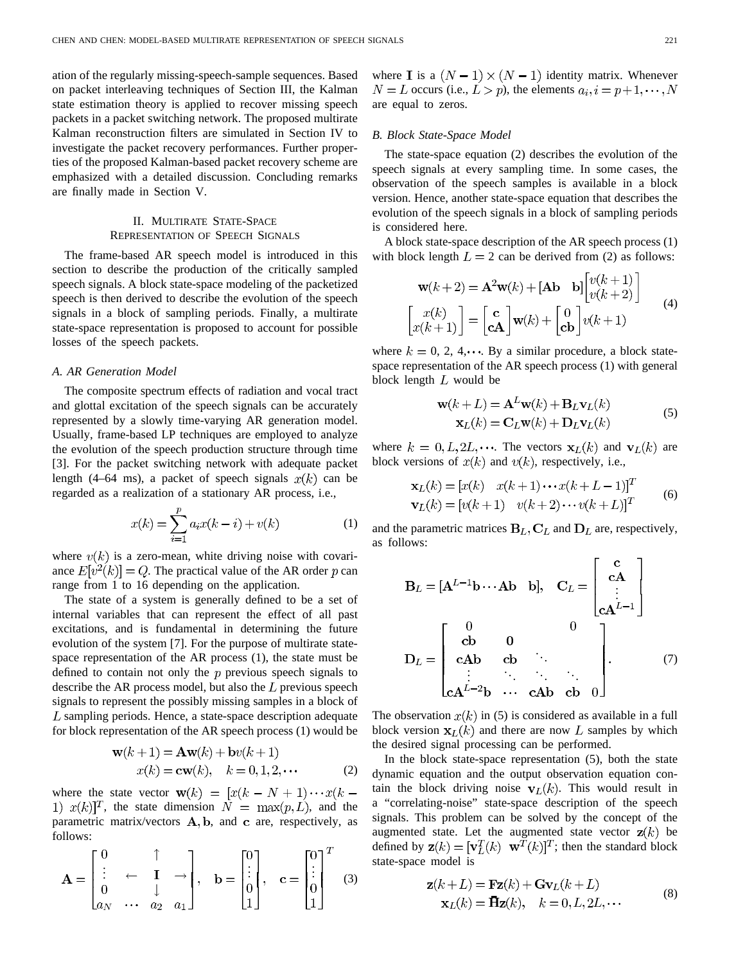ation of the regularly missing-speech-sample sequences. Based on packet interleaving techniques of Section III, the Kalman state estimation theory is applied to recover missing speech packets in a packet switching network. The proposed multirate Kalman reconstruction filters are simulated in Section IV to investigate the packet recovery performances. Further properties of the proposed Kalman-based packet recovery scheme are emphasized with a detailed discussion. Concluding remarks are finally made in Section V.

# II. MULTIRATE STATE-SPACE REPRESENTATION OF SPEECH SIGNALS

The frame-based AR speech model is introduced in this section to describe the production of the critically sampled speech signals. A block state-space modeling of the packetized speech is then derived to describe the evolution of the speech signals in a block of sampling periods. Finally, a multirate state-space representation is proposed to account for possible losses of the speech packets.

#### *A. AR Generation Model*

The composite spectrum effects of radiation and vocal tract and glottal excitation of the speech signals can be accurately represented by a slowly time-varying AR generation model. Usually, frame-based LP techniques are employed to analyze the evolution of the speech production structure through time [3]. For the packet switching network with adequate packet length (4–64 ms), a packet of speech signals  $x(k)$  can be regarded as a realization of a stationary AR process, i.e.,

$$
x(k) = \sum_{i=1}^{P} a_i x(k-i) + v(k)
$$
 (1)

where  $v(k)$  is a zero-mean, white driving noise with covariance  $E[v^2(k)] = Q$ . The practical value of the AR order p can range from 1 to 16 depending on the application.

The state of a system is generally defined to be a set of internal variables that can represent the effect of all past excitations, and is fundamental in determining the future evolution of the system [7]. For the purpose of multirate statespace representation of the AR process (1), the state must be defined to contain not only the  $p$  previous speech signals to describe the AR process model, but also the  $L$  previous speech signals to represent the possibly missing samples in a block of  $L$  sampling periods. Hence, a state-space description adequate for block representation of the AR speech process (1) would be

$$
\mathbf{w}(k+1) = \mathbf{A}\mathbf{w}(k) + \mathbf{b}v(k+1)
$$
  

$$
x(k) = \mathbf{c}\mathbf{w}(k), \quad k = 0, 1, 2, \cdots
$$
 (2)

where the state vector  $\mathbf{w}(k) = [x(k - N + 1) \cdots x(k -$ 1)  $x(k)$ <sup>T</sup>, the state dimension  $N = \max(p, L)$ , and the parametric matrix/vectors  $A$ , b, and c are, respectively, as follows:

$$
\mathbf{A} = \begin{bmatrix} 0 & \uparrow \\ \vdots & \leftarrow & \mathbf{I} & \rightarrow \\ 0 & \downarrow & \downarrow & \\ a_N & \cdots & a_2 & a_1 \end{bmatrix}, \quad \mathbf{b} = \begin{bmatrix} 0 \\ \vdots \\ 0 \\ 1 \end{bmatrix}, \quad \mathbf{c} = \begin{bmatrix} 0 \\ \vdots \\ 0 \\ 1 \end{bmatrix} \quad (3)
$$

where **I** is a  $(N - 1) \times (N - 1)$  identity matrix. Whenever  $N = L$  occurs (i.e.,  $L > p$ ), the elements  $a_i, i = p+1, \dots, N$ are equal to zeros.

## *B. Block State-Space Model*

The state-space equation (2) describes the evolution of the speech signals at every sampling time. In some cases, the observation of the speech samples is available in a block version. Hence, another state-space equation that describes the evolution of the speech signals in a block of sampling periods is considered here.

A block state-space description of the AR speech process (1) with block length  $L = 2$  can be derived from (2) as follows:

$$
\mathbf{w}(k+2) = \mathbf{A}^2 \mathbf{w}(k) + [\mathbf{A}\mathbf{b} \quad \mathbf{b}] \begin{bmatrix} v(k+1) \\ v(k+2) \end{bmatrix}
$$
  

$$
\begin{bmatrix} x(k) \\ x(k+1) \end{bmatrix} = \begin{bmatrix} \mathbf{c} \\ \mathbf{c}\mathbf{A} \end{bmatrix} \mathbf{w}(k) + \begin{bmatrix} 0 \\ \mathbf{c}\mathbf{b} \end{bmatrix} v(k+1)
$$
 (4)

where  $k = 0, 2, 4, \dots$  By a similar procedure, a block statespace representation of the AR speech process (1) with general block length  $L$  would be

$$
\mathbf{w}(k+L) = \mathbf{A}^{L}\mathbf{w}(k) + \mathbf{B}_{L}\mathbf{v}_{L}(k)
$$
  

$$
\mathbf{x}_{L}(k) = \mathbf{C}_{L}\mathbf{w}(k) + \mathbf{D}_{L}\mathbf{v}_{L}(k)
$$
 (5)

where  $k = 0, L, 2L, \cdots$ . The vectors  $\mathbf{x}_L(k)$  and  $\mathbf{v}_L(k)$  are block versions of  $x(k)$  and  $v(k)$ , respectively, i.e.,

$$
\mathbf{x}_L(k) = [x(k) \quad x(k+1)\cdots x(k+L-1)]^T
$$
  
\n
$$
\mathbf{v}_L(k) = [v(k+1) \quad v(k+2)\cdots v(k+L)]^T
$$
 (6)

and the parametric matrices  $B_L, C_L$  and  $D_L$  are, respectively, as follows:

$$
\mathbf{B}_{L} = [\mathbf{A}^{L-1} \mathbf{b} \cdots \mathbf{A} \mathbf{b} \quad \mathbf{b}], \quad \mathbf{C}_{L} = \begin{bmatrix} \mathbf{c} \\ \mathbf{c} \mathbf{A} \\ \vdots \\ \mathbf{c} \mathbf{A}^{L-1} \end{bmatrix}
$$

$$
\mathbf{D}_{L} = \begin{bmatrix} 0 & 0 & 0 \\ \mathbf{c} \mathbf{b} & \mathbf{0} & \vdots \\ \mathbf{c} \mathbf{A} \mathbf{b} & \mathbf{c} \mathbf{b} & \ddots & \vdots \\ \vdots & \ddots & \ddots & \ddots & \vdots \\ \mathbf{c} \mathbf{A}^{L-2} \mathbf{b} & \cdots & \mathbf{c} \mathbf{A} \mathbf{b} & \mathbf{c} \mathbf{b} & 0 \end{bmatrix} . \tag{7}
$$

The observation  $x(k)$  in (5) is considered as available in a full block version  $x_L(k)$  and there are now L samples by which the desired signal processing can be performed.

In the block state-space representation (5), both the state dynamic equation and the output observation equation contain the block driving noise  $v_L(k)$ . This would result in a "correlating-noise" state-space description of the speech signals. This problem can be solved by the concept of the augmented state. Let the augmented state vector  $z(k)$  be defined by  $\mathbf{z}(k) = [\mathbf{v}_L^T(k) \ \mathbf{w}^T(k)]^T$ ; then the standard block state-space model is

$$
\mathbf{z}(k+L) = \mathbf{F}\mathbf{z}(k) + \mathbf{G}\mathbf{v}_L(k+L)
$$
  

$$
\mathbf{x}_L(k) = \mathbf{H}\mathbf{z}(k), \quad k = 0, L, 2L, \cdots
$$
 (8)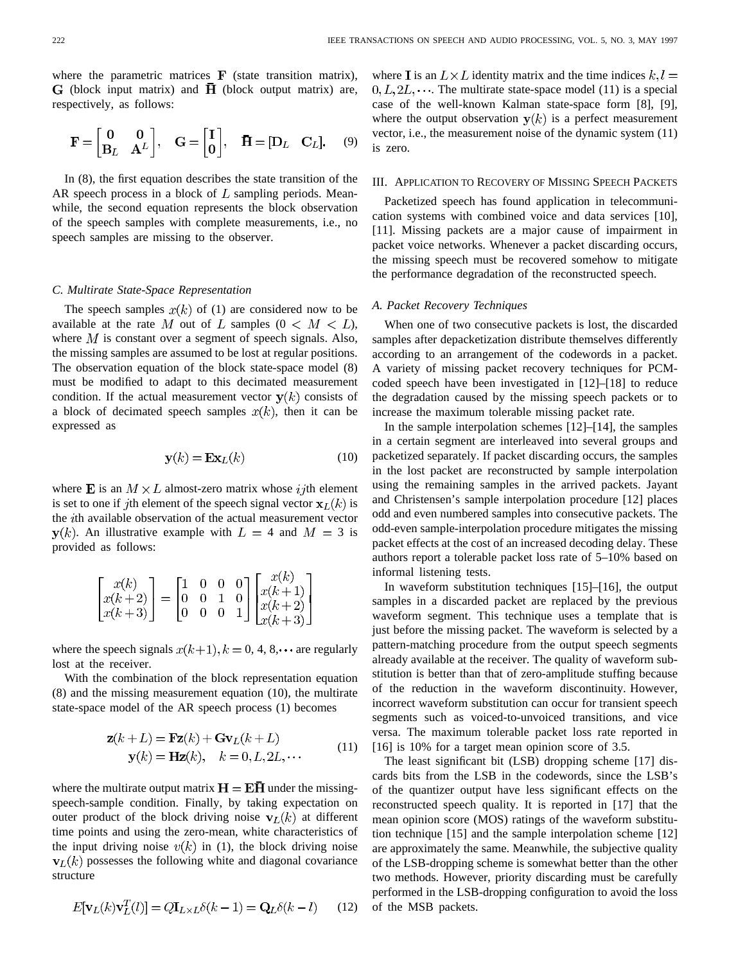where the parametric matrices  $\bf{F}$  (state transition matrix),  $\bf{G}$  (block input matrix) and  $\bf{\bar{H}}$  (block output matrix) are, respectively, as follows:

$$
\mathbf{F} = \begin{bmatrix} \mathbf{0} & \mathbf{0} \\ \mathbf{B}_L & \mathbf{A}^L \end{bmatrix}, \quad \mathbf{G} = \begin{bmatrix} \mathbf{I} \\ \mathbf{0} \end{bmatrix}, \quad \mathbf{\bar{H}} = [\mathbf{D}_L \quad \mathbf{C}_L]. \tag{9}
$$

In (8), the first equation describes the state transition of the AR speech process in a block of  $L$  sampling periods. Meanwhile, the second equation represents the block observation of the speech samples with complete measurements, i.e., no speech samples are missing to the observer.

## *C. Multirate State-Space Representation*

The speech samples  $x(k)$  of (1) are considered now to be available at the rate M out of L samples  $(0 \lt M \lt L)$ , where  $M$  is constant over a segment of speech signals. Also, the missing samples are assumed to be lost at regular positions. The observation equation of the block state-space model (8) must be modified to adapt to this decimated measurement condition. If the actual measurement vector  $y(k)$  consists of a block of decimated speech samples  $x(k)$ , then it can be expressed as

$$
\mathbf{y}(k) = \mathbf{E}\mathbf{x}_L(k) \tag{10}
$$

where **E** is an  $M \times L$  almost-zero matrix whose ijth element is set to one if *i*th element of the speech signal vector  $\mathbf{x}_L(k)$  is the  $i$ th available observation of the actual measurement vector  $y(k)$ . An illustrative example with  $L = 4$  and  $M = 3$  is provided as follows:

$$
\begin{bmatrix} x(k) \\ x(k+2) \\ x(k+3) \end{bmatrix} = \begin{bmatrix} 1 & 0 & 0 & 0 \\ 0 & 0 & 1 & 0 \\ 0 & 0 & 0 & 1 \end{bmatrix} \begin{bmatrix} x(k) \\ x(k+1) \\ x(k+2) \\ x(k+3) \end{bmatrix}
$$

where the speech signals  $x(k+1), k = 0, 4, 8, \cdots$  are regularly lost at the receiver.

With the combination of the block representation equation (8) and the missing measurement equation (10), the multirate state-space model of the AR speech process (1) becomes

$$
\mathbf{z}(k+L) = \mathbf{F}\mathbf{z}(k) + \mathbf{G}\mathbf{v}_L(k+L)
$$
  
\n
$$
\mathbf{y}(k) = \mathbf{H}\mathbf{z}(k), \quad k = 0, L, 2L, \dots
$$
 (11)

where the multirate output matrix  $H = E\overline{H}$  under the missingspeech-sample condition. Finally, by taking expectation on outer product of the block driving noise  $v_L(k)$  at different time points and using the zero-mean, white characteristics of the input driving noise  $v(k)$  in (1), the block driving noise  $v<sub>L</sub>(k)$  possesses the following white and diagonal covariance structure

$$
E[\mathbf{v}_L(k)\mathbf{v}_L^T(l)] = Q\mathbf{I}_{L\times L}\delta(k-1) = \mathbf{Q}_L\delta(k-l) \qquad (12)
$$

where I is an  $L \times L$  identity matrix and the time indices  $k, l =$  $0, L, 2L, \dots$ . The multirate state-space model (11) is a special case of the well-known Kalman state-space form [8], [9], where the output observation  $y(k)$  is a perfect measurement vector, i.e., the measurement noise of the dynamic system (11) is zero.

#### III. APPLICATION TO RECOVERY OF MISSING SPEECH PACKETS

Packetized speech has found application in telecommunication systems with combined voice and data services [10], [11]. Missing packets are a major cause of impairment in packet voice networks. Whenever a packet discarding occurs, the missing speech must be recovered somehow to mitigate the performance degradation of the reconstructed speech.

#### *A. Packet Recovery Techniques*

When one of two consecutive packets is lost, the discarded samples after depacketization distribute themselves differently according to an arrangement of the codewords in a packet. A variety of missing packet recovery techniques for PCMcoded speech have been investigated in [12]–[18] to reduce the degradation caused by the missing speech packets or to increase the maximum tolerable missing packet rate.

In the sample interpolation schemes [12]–[14], the samples in a certain segment are interleaved into several groups and packetized separately. If packet discarding occurs, the samples in the lost packet are reconstructed by sample interpolation using the remaining samples in the arrived packets. Jayant and Christensen's sample interpolation procedure [12] places odd and even numbered samples into consecutive packets. The odd-even sample-interpolation procedure mitigates the missing packet effects at the cost of an increased decoding delay. These authors report a tolerable packet loss rate of 5–10% based on informal listening tests.

In waveform substitution techniques [15]–[16], the output samples in a discarded packet are replaced by the previous waveform segment. This technique uses a template that is just before the missing packet. The waveform is selected by a pattern-matching procedure from the output speech segments already available at the receiver. The quality of waveform substitution is better than that of zero-amplitude stuffing because of the reduction in the waveform discontinuity. However, incorrect waveform substitution can occur for transient speech segments such as voiced-to-unvoiced transitions, and vice versa. The maximum tolerable packet loss rate reported in [16] is 10% for a target mean opinion score of 3.5.

The least significant bit (LSB) dropping scheme [17] discards bits from the LSB in the codewords, since the LSB's of the quantizer output have less significant effects on the reconstructed speech quality. It is reported in [17] that the mean opinion score (MOS) ratings of the waveform substitution technique [15] and the sample interpolation scheme [12] are approximately the same. Meanwhile, the subjective quality of the LSB-dropping scheme is somewhat better than the other two methods. However, priority discarding must be carefully performed in the LSB-dropping configuration to avoid the loss of the MSB packets.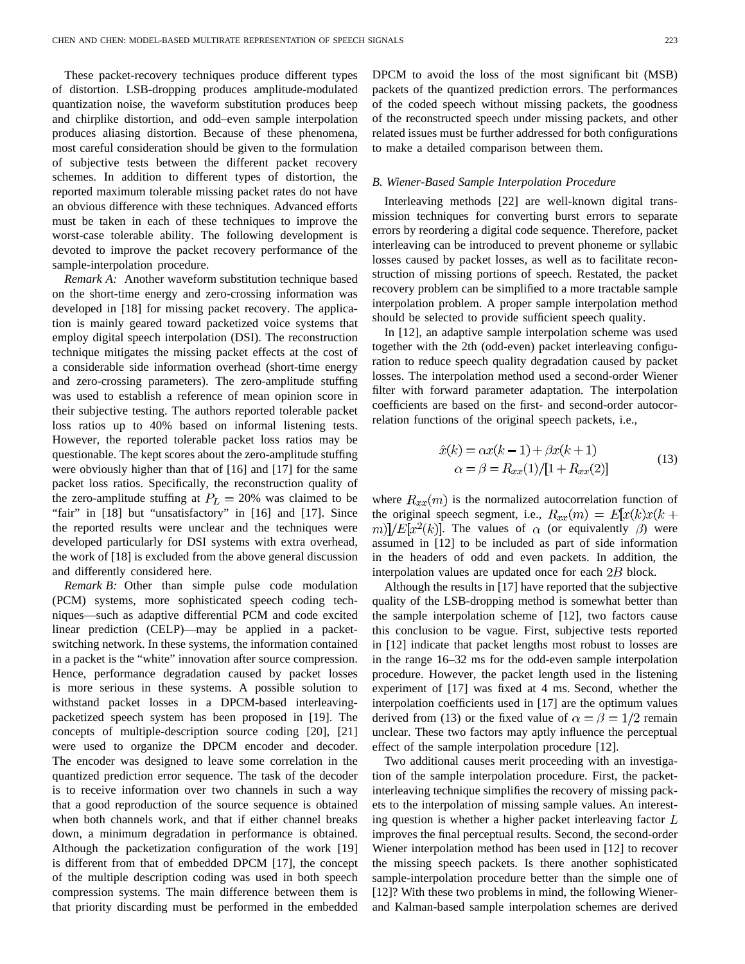These packet-recovery techniques produce different types of distortion. LSB-dropping produces amplitude-modulated quantization noise, the waveform substitution produces beep and chirplike distortion, and odd–even sample interpolation produces aliasing distortion. Because of these phenomena, most careful consideration should be given to the formulation of subjective tests between the different packet recovery schemes. In addition to different types of distortion, the reported maximum tolerable missing packet rates do not have an obvious difference with these techniques. Advanced efforts must be taken in each of these techniques to improve the worst-case tolerable ability. The following development is devoted to improve the packet recovery performance of the sample-interpolation procedure.

*Remark A:* Another waveform substitution technique based on the short-time energy and zero-crossing information was developed in [18] for missing packet recovery. The application is mainly geared toward packetized voice systems that employ digital speech interpolation (DSI). The reconstruction technique mitigates the missing packet effects at the cost of a considerable side information overhead (short-time energy and zero-crossing parameters). The zero-amplitude stuffing was used to establish a reference of mean opinion score in their subjective testing. The authors reported tolerable packet loss ratios up to 40% based on informal listening tests. However, the reported tolerable packet loss ratios may be questionable. The kept scores about the zero-amplitude stuffing were obviously higher than that of [16] and [17] for the same packet loss ratios. Specifically, the reconstruction quality of the zero-amplitude stuffing at  $P_L = 20\%$  was claimed to be "fair" in [18] but "unsatisfactory" in [16] and [17]. Since the reported results were unclear and the techniques were developed particularly for DSI systems with extra overhead, the work of [18] is excluded from the above general discussion and differently considered here.

*Remark B:* Other than simple pulse code modulation (PCM) systems, more sophisticated speech coding techniques—such as adaptive differential PCM and code excited linear prediction (CELP)—may be applied in a packetswitching network. In these systems, the information contained in a packet is the "white" innovation after source compression. Hence, performance degradation caused by packet losses is more serious in these systems. A possible solution to withstand packet losses in a DPCM-based interleavingpacketized speech system has been proposed in [19]. The concepts of multiple-description source coding [20], [21] were used to organize the DPCM encoder and decoder. The encoder was designed to leave some correlation in the quantized prediction error sequence. The task of the decoder is to receive information over two channels in such a way that a good reproduction of the source sequence is obtained when both channels work, and that if either channel breaks down, a minimum degradation in performance is obtained. Although the packetization configuration of the work [19] is different from that of embedded DPCM [17], the concept of the multiple description coding was used in both speech compression systems. The main difference between them is that priority discarding must be performed in the embedded DPCM to avoid the loss of the most significant bit (MSB) packets of the quantized prediction errors. The performances of the coded speech without missing packets, the goodness of the reconstructed speech under missing packets, and other related issues must be further addressed for both configurations to make a detailed comparison between them.

#### *B. Wiener-Based Sample Interpolation Procedure*

Interleaving methods [22] are well-known digital transmission techniques for converting burst errors to separate errors by reordering a digital code sequence. Therefore, packet interleaving can be introduced to prevent phoneme or syllabic losses caused by packet losses, as well as to facilitate reconstruction of missing portions of speech. Restated, the packet recovery problem can be simplified to a more tractable sample interpolation problem. A proper sample interpolation method should be selected to provide sufficient speech quality.

In [12], an adaptive sample interpolation scheme was used together with the 2th (odd-even) packet interleaving configuration to reduce speech quality degradation caused by packet losses. The interpolation method used a second-order Wiener filter with forward parameter adaptation. The interpolation coefficients are based on the first- and second-order autocorrelation functions of the original speech packets, i.e.,

$$
\hat{x}(k) = \alpha x(k-1) + \beta x(k+1) \n\alpha = \beta = R_{xx}(1)/[1 + R_{xx}(2)]
$$
\n(13)

where  $R_{xx}(m)$  is the normalized autocorrelation function of the original speech segment, i.e.,  $R_{xx}(m) = E[x(k)x(k +$  $m$ )]/ $E[x^2(k)]$ . The values of  $\alpha$  (or equivalently  $\beta$ ) were assumed in [12] to be included as part of side information in the headers of odd and even packets. In addition, the interpolation values are updated once for each  $2B$  block.

Although the results in [17] have reported that the subjective quality of the LSB-dropping method is somewhat better than the sample interpolation scheme of [12], two factors cause this conclusion to be vague. First, subjective tests reported in [12] indicate that packet lengths most robust to losses are in the range 16–32 ms for the odd-even sample interpolation procedure. However, the packet length used in the listening experiment of [17] was fixed at 4 ms. Second, whether the interpolation coefficients used in [17] are the optimum values derived from (13) or the fixed value of  $\alpha = \beta = 1/2$  remain unclear. These two factors may aptly influence the perceptual effect of the sample interpolation procedure [12].

Two additional causes merit proceeding with an investigation of the sample interpolation procedure. First, the packetinterleaving technique simplifies the recovery of missing packets to the interpolation of missing sample values. An interesting question is whether a higher packet interleaving factor  $L$ improves the final perceptual results. Second, the second-order Wiener interpolation method has been used in [12] to recover the missing speech packets. Is there another sophisticated sample-interpolation procedure better than the simple one of [12]? With these two problems in mind, the following Wienerand Kalman-based sample interpolation schemes are derived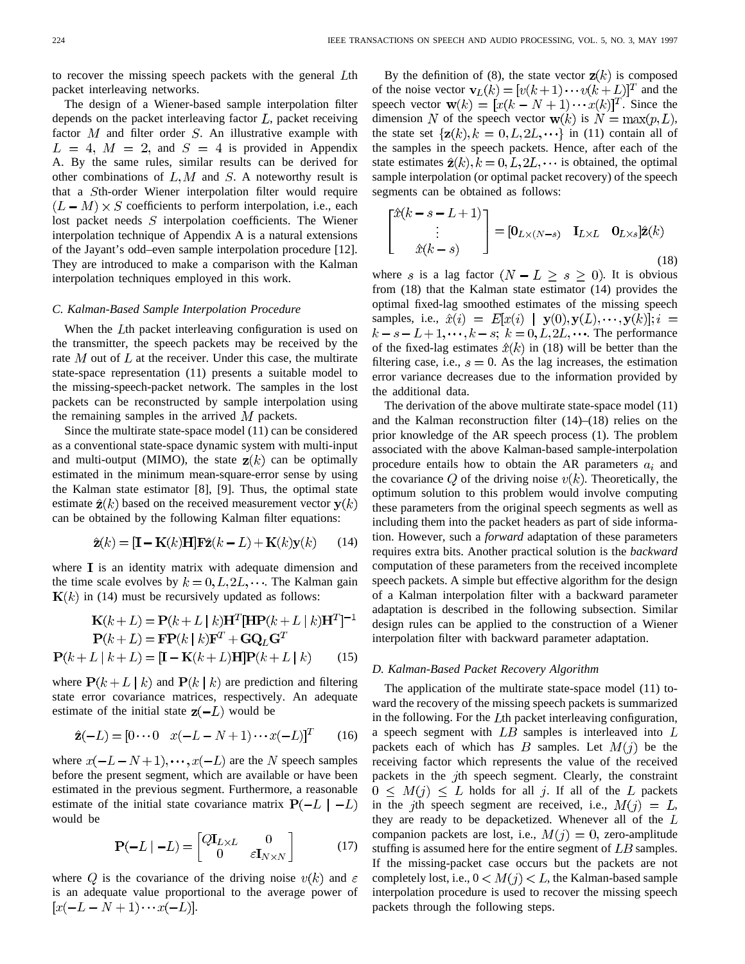to recover the missing speech packets with the general Lth packet interleaving networks.

The design of a Wiener-based sample interpolation filter depends on the packet interleaving factor  $L$ , packet receiving factor  $M$  and filter order  $S$ . An illustrative example with  $L = 4$ ,  $M = 2$ , and  $S = 4$  is provided in Appendix A. By the same rules, similar results can be derived for other combinations of  $L, M$  and  $S$ . A noteworthy result is that a Sth-order Wiener interpolation filter would require  $(L-M) \times S$  coefficients to perform interpolation, i.e., each lost packet needs  $S$  interpolation coefficients. The Wiener interpolation technique of Appendix A is a natural extensions of the Jayant's odd–even sample interpolation procedure [12]. They are introduced to make a comparison with the Kalman interpolation techniques employed in this work.

## *C. Kalman-Based Sample Interpolation Procedure*

When the L<sup>th</sup> packet interleaving configuration is used on the transmitter, the speech packets may be received by the rate  $M$  out of  $L$  at the receiver. Under this case, the multirate state-space representation (11) presents a suitable model to the missing-speech-packet network. The samples in the lost packets can be reconstructed by sample interpolation using the remaining samples in the arrived  $M$  packets.

Since the multirate state-space model (11) can be considered as a conventional state-space dynamic system with multi-input and multi-output (MIMO), the state  $z(k)$  can be optimally estimated in the minimum mean-square-error sense by using the Kalman state estimator [8], [9]. Thus, the optimal state estimate  $\hat{\mathbf{z}}(k)$  based on the received measurement vector  $\mathbf{v}(k)$ can be obtained by the following Kalman filter equations:

$$
\hat{\mathbf{z}}(k) = [\mathbf{I} - \mathbf{K}(k)\mathbf{H}] \mathbf{F} \hat{\mathbf{z}}(k - L) + \mathbf{K}(k) \mathbf{y}(k) \qquad (14)
$$

where  $\bf{I}$  is an identity matrix with adequate dimension and the time scale evolves by  $k = 0, L, 2L, \cdots$ . The Kalman gain  $\mathbf{K}(k)$  in (14) must be recursively updated as follows:

$$
\mathbf{K}(k+L) = \mathbf{P}(k+L \mid k)\mathbf{H}^{T}[\mathbf{H}\mathbf{P}(k+L \mid k)\mathbf{H}^{T}]^{-1}
$$

$$
\mathbf{P}(k+L) = \mathbf{F}\mathbf{P}(k \mid k)\mathbf{F}^{T} + \mathbf{G}\mathbf{Q}_{L}\mathbf{G}^{T}
$$

$$
\mathbf{P}(k+L \mid k+L) = [\mathbf{I} - \mathbf{K}(k+L)\mathbf{H}]\mathbf{P}(k+L \mid k) \qquad (15)
$$

where  $P(k+L \mid k)$  and  $P(k \mid k)$  are prediction and filtering state error covariance matrices, respectively. An adequate estimate of the initial state  $z(-L)$  would be

$$
\hat{\mathbf{z}}(-L) = [0 \cdots 0 \quad x(-L - N + 1) \cdots x(-L)]^T \tag{16}
$$

where  $x(-L-N+1), \dots, x(-L)$  are the N speech samples before the present segment, which are available or have been estimated in the previous segment. Furthermore, a reasonable estimate of the initial state covariance matrix  $P(-L \mid -L)$ would be

$$
\mathbf{P}(-L \mid -L) = \begin{bmatrix} Q\mathbf{I}_{L \times L} & 0\\ 0 & \varepsilon \mathbf{I}_{N \times N} \end{bmatrix}
$$
 (17)

where Q is the covariance of the driving noise  $v(k)$  and  $\varepsilon$ is an adequate value proportional to the average power of  $[x(-L - N + 1) \cdots x(-L)].$ 

By the definition of (8), the state vector  $z(k)$  is composed of the noise vector  $\mathbf{v}_L(k) = [v(k+1) \cdots v(k+L)]^T$  and the speech vector  $\mathbf{w}(k) = [x(k - N + 1) \cdots x(k)]^T$ . Since the dimension N of the speech vector  $w(k)$  is  $N = max(p, L)$ , the state set  $\{z(k), k = 0, L, 2L, \dots\}$  in (11) contain all of the samples in the speech packets. Hence, after each of the state estimates  $\hat{\mathbf{z}}(k)$ ,  $k = 0, L, 2L, \cdots$  is obtained, the optimal sample interpolation (or optimal packet recovery) of the speech segments can be obtained as follows:

$$
\begin{bmatrix} \hat{x}(k-s-L+1) \\ \vdots \\ \hat{x}(k-s) \end{bmatrix} = [\mathbf{0}_{L\times(N-s)} \quad \mathbf{I}_{L\times L} \quad \mathbf{0}_{L\times s}]\hat{\mathbf{z}}(k)
$$
\n(18)

where s is a lag factor  $(N - L \ge s \ge 0)$ . It is obvious from (18) that the Kalman state estimator (14) provides the optimal fixed-lag smoothed estimates of the missing speech samples, i.e.,  $\hat{x}(i) = E[x(i) | y(0), y(L), \dots, y(k)]; i =$  $k-s-L+1,\dots,k-s; k=0,L,2L,\dots$ . The performance of the fixed-lag estimates  $\hat{x}(k)$  in (18) will be better than the filtering case, i.e.,  $s = 0$ . As the lag increases, the estimation error variance decreases due to the information provided by the additional data.

The derivation of the above multirate state-space model (11) and the Kalman reconstruction filter (14)–(18) relies on the prior knowledge of the AR speech process (1). The problem associated with the above Kalman-based sample-interpolation procedure entails how to obtain the AR parameters  $a_i$  and the covariance Q of the driving noise  $v(k)$ . Theoretically, the optimum solution to this problem would involve computing these parameters from the original speech segments as well as including them into the packet headers as part of side information. However, such a *forward* adaptation of these parameters requires extra bits. Another practical solution is the *backward* computation of these parameters from the received incomplete speech packets. A simple but effective algorithm for the design of a Kalman interpolation filter with a backward parameter adaptation is described in the following subsection. Similar design rules can be applied to the construction of a Wiener interpolation filter with backward parameter adaptation.

## *D. Kalman-Based Packet Recovery Algorithm*

The application of the multirate state-space model (11) toward the recovery of the missing speech packets is summarized in the following. For the  $L$ th packet interleaving configuration, a speech segment with  $LB$  samples is interleaved into  $L$ packets each of which has B samples. Let  $M(j)$  be the receiving factor which represents the value of the received packets in the  $j$ th speech segment. Clearly, the constraint  $0 \leq M(j) \leq L$  holds for all j. If all of the L packets in the jth speech segment are received, i.e.,  $M(j) = L$ , they are ready to be depacketized. Whenever all of the  $L$ companion packets are lost, i.e.,  $M(j) = 0$ , zero-amplitude stuffing is assumed here for the entire segment of  $LB$  samples. If the missing-packet case occurs but the packets are not completely lost, i.e.,  $0 < M(j) < L$ , the Kalman-based sample interpolation procedure is used to recover the missing speech packets through the following steps.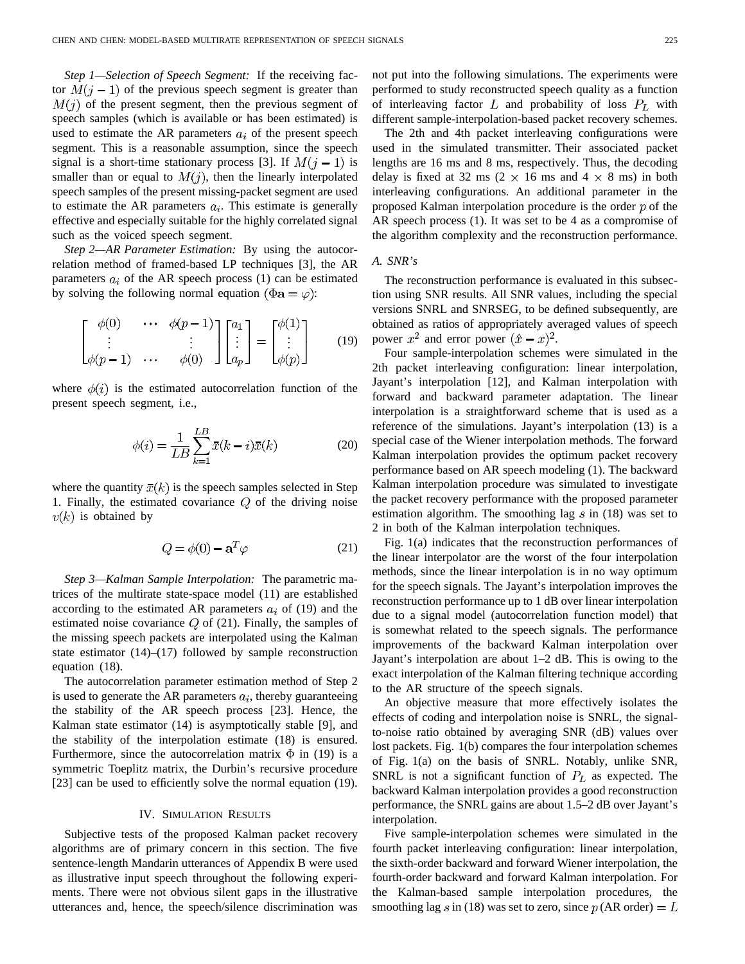*Step 1—Selection of Speech Segment:* If the receiving factor  $M(j-1)$  of the previous speech segment is greater than  $M(j)$  of the present segment, then the previous segment of speech samples (which is available or has been estimated) is used to estimate the AR parameters  $a_i$  of the present speech segment. This is a reasonable assumption, since the speech signal is a short-time stationary process [3]. If  $M(j-1)$  is smaller than or equal to  $M(j)$ , then the linearly interpolated speech samples of the present missing-packet segment are used to estimate the AR parameters  $a_i$ . This estimate is generally effective and especially suitable for the highly correlated signal such as the voiced speech segment.

*Step 2—AR Parameter Estimation:* By using the autocorrelation method of framed-based LP techniques [3], the AR parameters  $a_i$  of the AR speech process (1) can be estimated by solving the following normal equation ( $\Phi$ **a** =  $\varphi$ ):

$$
\begin{bmatrix}\n\phi(0) & \cdots & \phi(p-1) \\
\vdots & & \vdots \\
\phi(p-1) & \cdots & \phi(0)\n\end{bmatrix}\n\begin{bmatrix}\na_1 \\
\vdots \\
a_p\n\end{bmatrix} =\n\begin{bmatrix}\n\phi(1) \\
\vdots \\
\phi(p)\n\end{bmatrix}
$$
\n(19)

where  $\phi(i)$  is the estimated autocorrelation function of the present speech segment, i.e.,

$$
\phi(i) = \frac{1}{LB} \sum_{k=1}^{LB} \bar{x}(k-i)\bar{x}(k)
$$
 (20)

where the quantity  $\bar{x}(k)$  is the speech samples selected in Step 1. Finally, the estimated covariance  $Q$  of the driving noise  $v(k)$  is obtained by

$$
Q = \phi(0) - \mathbf{a}^T \varphi \tag{21}
$$

*Step 3—Kalman Sample Interpolation:* The parametric matrices of the multirate state-space model (11) are established according to the estimated AR parameters  $a_i$  of (19) and the estimated noise covariance  $Q$  of (21). Finally, the samples of the missing speech packets are interpolated using the Kalman state estimator (14)–(17) followed by sample reconstruction equation (18).

The autocorrelation parameter estimation method of Step 2 is used to generate the AR parameters  $a_i$ , thereby guaranteeing the stability of the AR speech process [23]. Hence, the Kalman state estimator (14) is asymptotically stable [9], and the stability of the interpolation estimate (18) is ensured. Furthermore, since the autocorrelation matrix  $\Phi$  in (19) is a symmetric Toeplitz matrix, the Durbin's recursive procedure [23] can be used to efficiently solve the normal equation (19).

#### IV. SIMULATION RESULTS

Subjective tests of the proposed Kalman packet recovery algorithms are of primary concern in this section. The five sentence-length Mandarin utterances of Appendix B were used as illustrative input speech throughout the following experiments. There were not obvious silent gaps in the illustrative utterances and, hence, the speech/silence discrimination was not put into the following simulations. The experiments were performed to study reconstructed speech quality as a function of interleaving factor L and probability of loss  $P<sub>L</sub>$  with different sample-interpolation-based packet recovery schemes.

The 2th and 4th packet interleaving configurations were used in the simulated transmitter. Their associated packet lengths are 16 ms and 8 ms, respectively. Thus, the decoding delay is fixed at 32 ms ( $2 \times 16$  ms and  $4 \times 8$  ms) in both interleaving configurations. An additional parameter in the proposed Kalman interpolation procedure is the order  $p$  of the AR speech process (1). It was set to be 4 as a compromise of the algorithm complexity and the reconstruction performance.

## *A. SNR's*

The reconstruction performance is evaluated in this subsection using SNR results. All SNR values, including the special versions SNRL and SNRSEG, to be defined subsequently, are obtained as ratios of appropriately averaged values of speech power  $x^2$  and error power  $(\hat{x} - x)^2$ .

Four sample-interpolation schemes were simulated in the 2th packet interleaving configuration: linear interpolation, Jayant's interpolation [12], and Kalman interpolation with forward and backward parameter adaptation. The linear interpolation is a straightforward scheme that is used as a reference of the simulations. Jayant's interpolation (13) is a special case of the Wiener interpolation methods. The forward Kalman interpolation provides the optimum packet recovery performance based on AR speech modeling (1). The backward Kalman interpolation procedure was simulated to investigate the packet recovery performance with the proposed parameter estimation algorithm. The smoothing lag  $s$  in (18) was set to 2 in both of the Kalman interpolation techniques.

Fig. 1(a) indicates that the reconstruction performances of the linear interpolator are the worst of the four interpolation methods, since the linear interpolation is in no way optimum for the speech signals. The Jayant's interpolation improves the reconstruction performance up to 1 dB over linear interpolation due to a signal model (autocorrelation function model) that is somewhat related to the speech signals. The performance improvements of the backward Kalman interpolation over Jayant's interpolation are about 1–2 dB. This is owing to the exact interpolation of the Kalman filtering technique according to the AR structure of the speech signals.

An objective measure that more effectively isolates the effects of coding and interpolation noise is SNRL, the signalto-noise ratio obtained by averaging SNR (dB) values over lost packets. Fig. 1(b) compares the four interpolation schemes of Fig. 1(a) on the basis of SNRL. Notably, unlike SNR, SNRL is not a significant function of  $P_L$  as expected. The backward Kalman interpolation provides a good reconstruction performance, the SNRL gains are about 1.5–2 dB over Jayant's interpolation.

Five sample-interpolation schemes were simulated in the fourth packet interleaving configuration: linear interpolation, the sixth-order backward and forward Wiener interpolation, the fourth-order backward and forward Kalman interpolation. For the Kalman-based sample interpolation procedures, the smoothing lag s in (18) was set to zero, since  $p(AR \text{ order}) = L$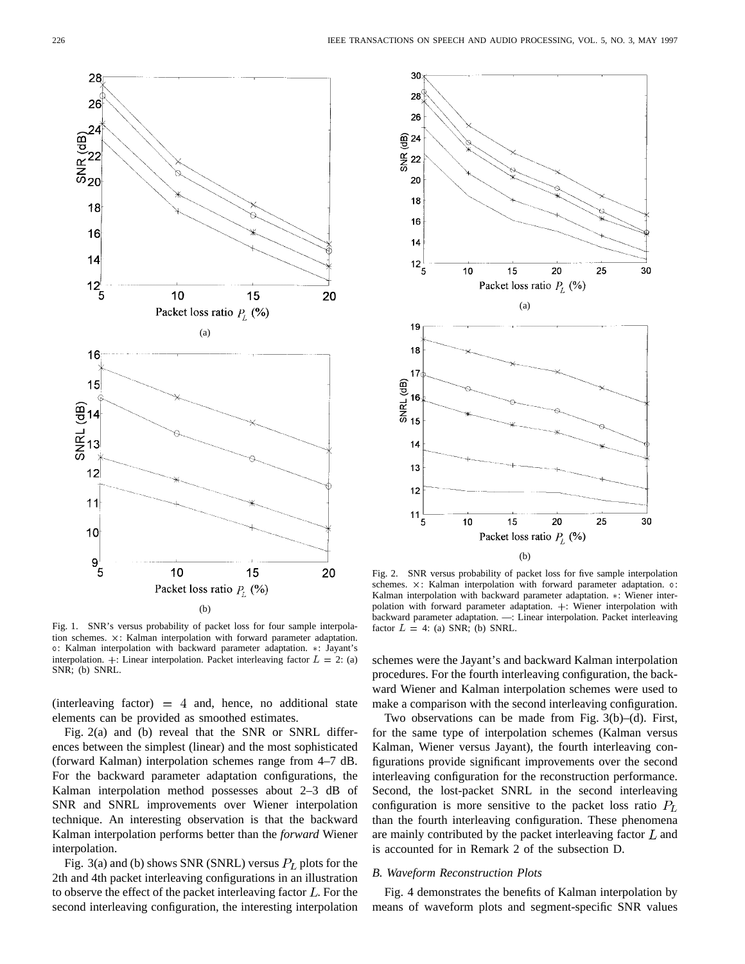

Fig. 1. SNR's versus probability of packet loss for four sample interpolation schemes. x: Kalman interpolation with forward parameter adaptation. o: Kalman interpolation with backward parameter adaptation. \*: Jayant's interpolation.  $+$ : Linear interpolation. Packet interleaving factor  $L = 2$ : (a) SNR; (b) SNRL.

(interleaving factor)  $= 4$  and, hence, no additional state elements can be provided as smoothed estimates.

Fig. 2(a) and (b) reveal that the SNR or SNRL differences between the simplest (linear) and the most sophisticated (forward Kalman) interpolation schemes range from 4–7 dB. For the backward parameter adaptation configurations, the Kalman interpolation method possesses about 2–3 dB of SNR and SNRL improvements over Wiener interpolation technique. An interesting observation is that the backward Kalman interpolation performs better than the *forward* Wiener interpolation.

Fig. 3(a) and (b) shows SNR (SNRL) versus  $P_L$  plots for the 2th and 4th packet interleaving configurations in an illustration to observe the effect of the packet interleaving factor  $L$ . For the second interleaving configuration, the interesting interpolation



Fig. 2. SNR versus probability of packet loss for five sample interpolation schemes. x: Kalman interpolation with forward parameter adaptation. o: Kalman interpolation with backward parameter adaptation. \*: Wiener interpolation with forward parameter adaptation. +: Wiener interpolation with backward parameter adaptation. —: Linear interpolation. Packet interleaving factor  $L = 4$ : (a) SNR; (b) SNRL.

schemes were the Jayant's and backward Kalman interpolation procedures. For the fourth interleaving configuration, the backward Wiener and Kalman interpolation schemes were used to make a comparison with the second interleaving configuration.

Two observations can be made from Fig. 3(b)–(d). First, for the same type of interpolation schemes (Kalman versus Kalman, Wiener versus Jayant), the fourth interleaving configurations provide significant improvements over the second interleaving configuration for the reconstruction performance. Second, the lost-packet SNRL in the second interleaving configuration is more sensitive to the packet loss ratio  $P<sub>L</sub>$ than the fourth interleaving configuration. These phenomena are mainly contributed by the packet interleaving factor  $L$  and is accounted for in Remark 2 of the subsection D.

#### *B. Waveform Reconstruction Plots*

Fig. 4 demonstrates the benefits of Kalman interpolation by means of waveform plots and segment-specific SNR values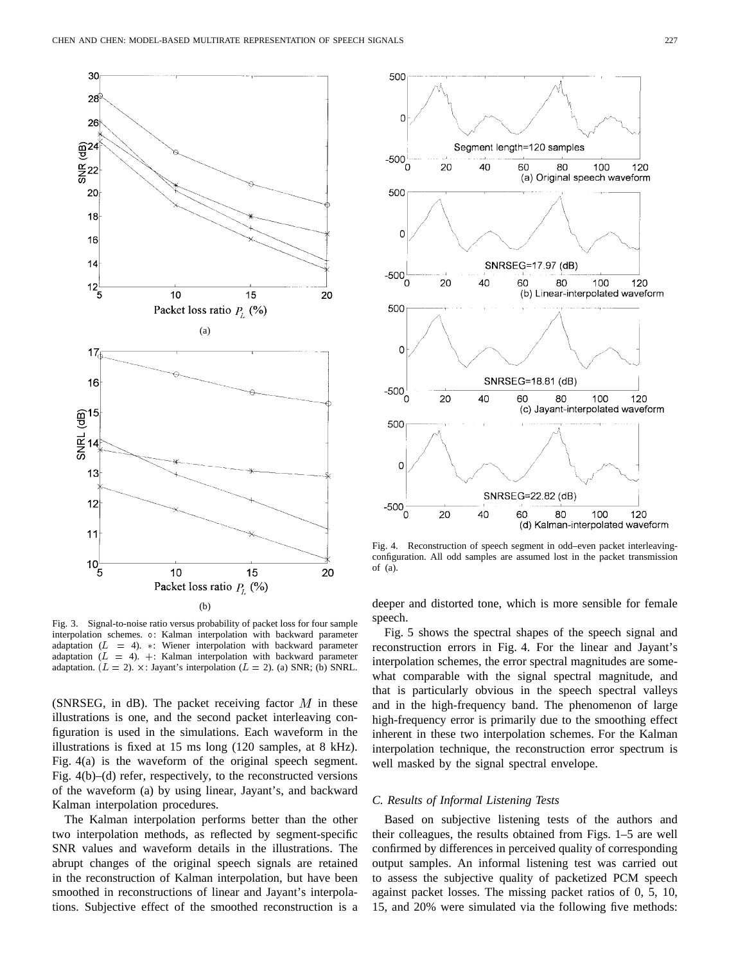

Fig. 3. Signal-to-noise ratio versus probability of packet loss for four sample interpolation schemes. o: Kalman interpolation with backward parameter adaptation  $(L = 4)$ . \*: Wiener interpolation with backward parameter adaptation  $(L = 4)$ . +: Kalman interpolation with backward parameter adaptation.  $(L = 2)$ .  $\times$ : Jayant's interpolation  $(L = 2)$ . (a) SNR; (b) SNRL.

(SNRSEG, in dB). The packet receiving factor  $M$  in these illustrations is one, and the second packet interleaving configuration is used in the simulations. Each waveform in the illustrations is fixed at 15 ms long (120 samples, at 8 kHz). Fig. 4(a) is the waveform of the original speech segment. Fig. 4(b)–(d) refer, respectively, to the reconstructed versions of the waveform (a) by using linear, Jayant's, and backward Kalman interpolation procedures.

The Kalman interpolation performs better than the other two interpolation methods, as reflected by segment-specific SNR values and waveform details in the illustrations. The abrupt changes of the original speech signals are retained in the reconstruction of Kalman interpolation, but have been smoothed in reconstructions of linear and Jayant's interpolations. Subjective effect of the smoothed reconstruction is a



Fig. 4. Reconstruction of speech segment in odd–even packet interleavingconfiguration. All odd samples are assumed lost in the packet transmission of (a).

deeper and distorted tone, which is more sensible for female speech.

Fig. 5 shows the spectral shapes of the speech signal and reconstruction errors in Fig. 4. For the linear and Jayant's interpolation schemes, the error spectral magnitudes are somewhat comparable with the signal spectral magnitude, and that is particularly obvious in the speech spectral valleys and in the high-frequency band. The phenomenon of large high-frequency error is primarily due to the smoothing effect inherent in these two interpolation schemes. For the Kalman interpolation technique, the reconstruction error spectrum is well masked by the signal spectral envelope.

#### *C. Results of Informal Listening Tests*

Based on subjective listening tests of the authors and their colleagues, the results obtained from Figs. 1–5 are well confirmed by differences in perceived quality of corresponding output samples. An informal listening test was carried out to assess the subjective quality of packetized PCM speech against packet losses. The missing packet ratios of 0, 5, 10, 15, and 20% were simulated via the following five methods: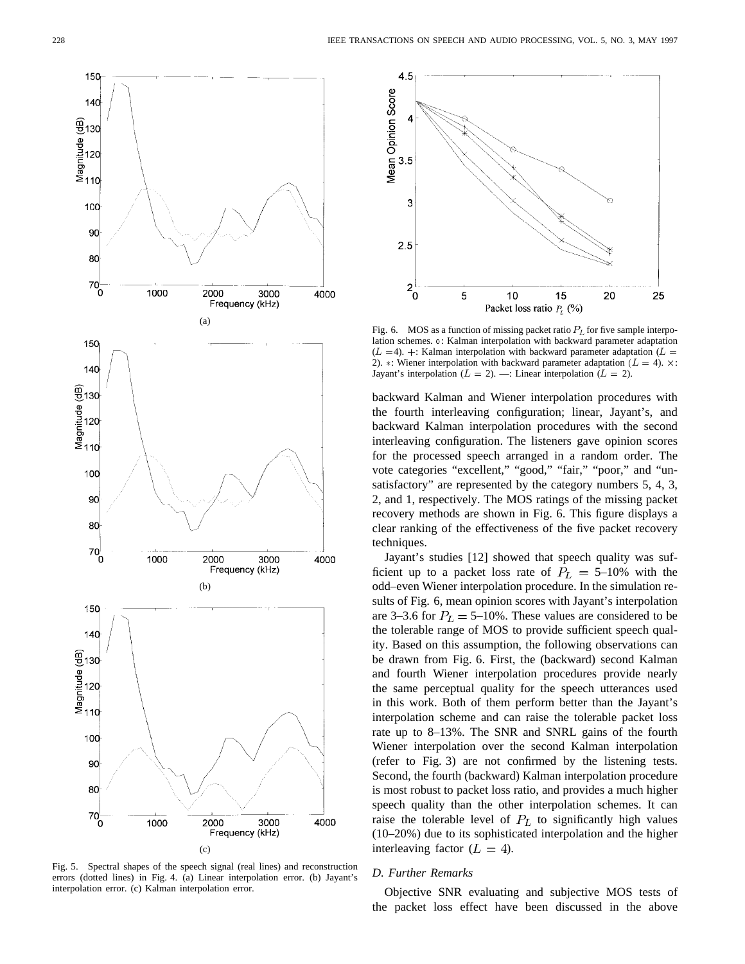

Fig. 5. Spectral shapes of the speech signal (real lines) and reconstruction errors (dotted lines) in Fig. 4. (a) Linear interpolation error. (b) Jayant's interpolation error. (c) Kalman interpolation error.



Fig. 6. MOS as a function of missing packet ratio  $P<sub>L</sub>$  for five sample interpolation schemes. o: Kalman interpolation with backward parameter adaptation  $(L = 4)$ . +: Kalman interpolation with backward parameter adaptation  $(L = 1)$ 2). \*: Wiener interpolation with backward parameter adaptation  $(L = 4)$ .  $\times$ : Jayant's interpolation ( $L = 2$ ). —: Linear interpolation ( $L = 2$ ).

backward Kalman and Wiener interpolation procedures with the fourth interleaving configuration; linear, Jayant's, and backward Kalman interpolation procedures with the second interleaving configuration. The listeners gave opinion scores for the processed speech arranged in a random order. The vote categories "excellent," "good," "fair," "poor," and "unsatisfactory" are represented by the category numbers 5, 4, 3, 2, and 1, respectively. The MOS ratings of the missing packet recovery methods are shown in Fig. 6. This figure displays a clear ranking of the effectiveness of the five packet recovery techniques.

Jayant's studies [12] showed that speech quality was sufficient up to a packet loss rate of  $P_L = 5{\text -}10\%$  with the odd–even Wiener interpolation procedure. In the simulation results of Fig. 6, mean opinion scores with Jayant's interpolation are 3–3.6 for  $P_L = 5$ –10%. These values are considered to be the tolerable range of MOS to provide sufficient speech quality. Based on this assumption, the following observations can be drawn from Fig. 6. First, the (backward) second Kalman and fourth Wiener interpolation procedures provide nearly the same perceptual quality for the speech utterances used in this work. Both of them perform better than the Jayant's interpolation scheme and can raise the tolerable packet loss rate up to 8–13%. The SNR and SNRL gains of the fourth Wiener interpolation over the second Kalman interpolation (refer to Fig. 3) are not confirmed by the listening tests. Second, the fourth (backward) Kalman interpolation procedure is most robust to packet loss ratio, and provides a much higher speech quality than the other interpolation schemes. It can raise the tolerable level of  $P_L$  to significantly high values (10–20%) due to its sophisticated interpolation and the higher interleaving factor  $(L = 4)$ .

#### *D. Further Remarks*

Objective SNR evaluating and subjective MOS tests of the packet loss effect have been discussed in the above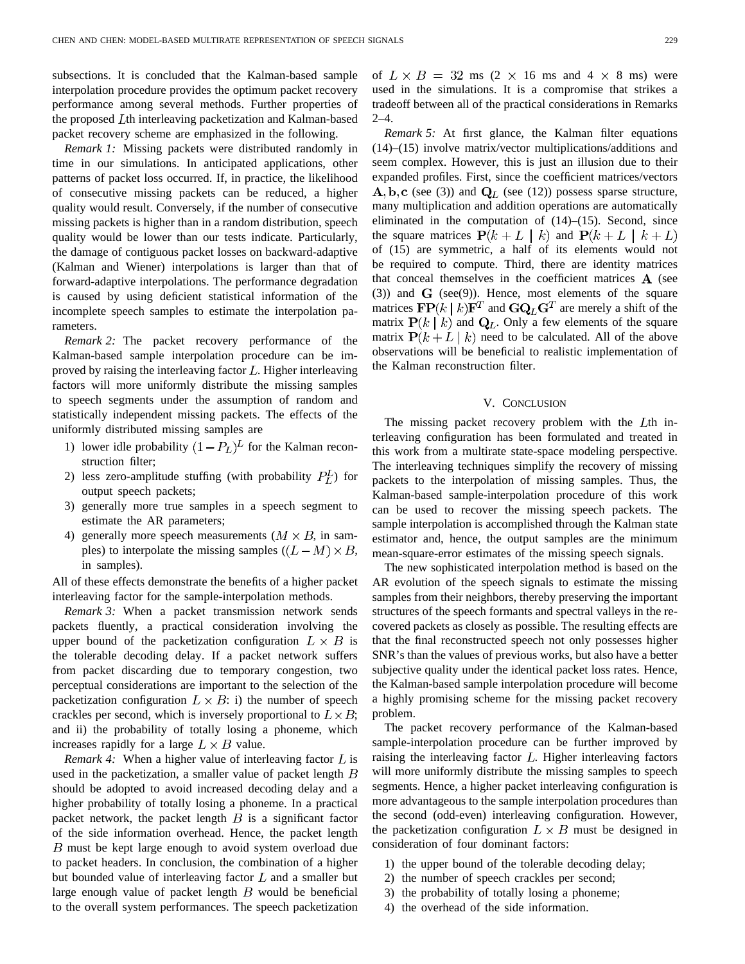subsections. It is concluded that the Kalman-based sample interpolation procedure provides the optimum packet recovery performance among several methods. Further properties of the proposed Lth interleaving packetization and Kalman-based packet recovery scheme are emphasized in the following.

*Remark 1:* Missing packets were distributed randomly in time in our simulations. In anticipated applications, other patterns of packet loss occurred. If, in practice, the likelihood of consecutive missing packets can be reduced, a higher quality would result. Conversely, if the number of consecutive missing packets is higher than in a random distribution, speech quality would be lower than our tests indicate. Particularly, the damage of contiguous packet losses on backward-adaptive (Kalman and Wiener) interpolations is larger than that of forward-adaptive interpolations. The performance degradation is caused by using deficient statistical information of the incomplete speech samples to estimate the interpolation parameters.

*Remark 2:* The packet recovery performance of the Kalman-based sample interpolation procedure can be improved by raising the interleaving factor  $L$ . Higher interleaving factors will more uniformly distribute the missing samples to speech segments under the assumption of random and statistically independent missing packets. The effects of the uniformly distributed missing samples are

- 1) lower idle probability  $(1 P_L)^L$  for the Kalman reconstruction filter;
- 2) less zero-amplitude stuffing (with probability  $P_L^L$ ) for output speech packets;
- 3) generally more true samples in a speech segment to estimate the AR parameters;
- 4) generally more speech measurements ( $M \times B$ , in samples) to interpolate the missing samples  $((L - M) \times B,$ in samples).

All of these effects demonstrate the benefits of a higher packet interleaving factor for the sample-interpolation methods.

*Remark 3:* When a packet transmission network sends packets fluently, a practical consideration involving the upper bound of the packetization configuration  $L \times B$  is the tolerable decoding delay. If a packet network suffers from packet discarding due to temporary congestion, two perceptual considerations are important to the selection of the packetization configuration  $L \times B$ : i) the number of speech crackles per second, which is inversely proportional to  $L \times B$ ; and ii) the probability of totally losing a phoneme, which increases rapidly for a large  $L \times B$  value.

*Remark 4:* When a higher value of interleaving factor  $L$  is used in the packetization, a smaller value of packet length  $B$ should be adopted to avoid increased decoding delay and a higher probability of totally losing a phoneme. In a practical packet network, the packet length  $B$  is a significant factor of the side information overhead. Hence, the packet length  $B$  must be kept large enough to avoid system overload due to packet headers. In conclusion, the combination of a higher but bounded value of interleaving factor  $L$  and a smaller but large enough value of packet length  $B$  would be beneficial to the overall system performances. The speech packetization

of  $L \times B = 32$  ms (2  $\times$  16 ms and 4  $\times$  8 ms) were used in the simulations. It is a compromise that strikes a tradeoff between all of the practical considerations in Remarks  $2 - 4$ .

*Remark 5:* At first glance, the Kalman filter equations (14)–(15) involve matrix/vector multiplications/additions and seem complex. However, this is just an illusion due to their expanded profiles. First, since the coefficient matrices/vectors  $(A, b, c \text{ (see (3)) and } Q_L \text{ (see (12)) possess sparse structure, }$ many multiplication and addition operations are automatically eliminated in the computation of (14)–(15). Second, since the square matrices  $P(k+L \mid k)$  and  $P(k+L \mid k+L)$ of (15) are symmetric, a half of its elements would not be required to compute. Third, there are identity matrices that conceal themselves in the coefficient matrices  $A$  (see (3)) and  $G$  (see(9)). Hence, most elements of the square matrices  $\mathbf{FP}(k | k) \mathbf{F}^T$  and  $\mathbf{G} \mathbf{Q}_L \mathbf{G}^T$  are merely a shift of the matrix  $P(k | k)$  and  $Q_L$ . Only a few elements of the square matrix  $P(k+L \mid k)$  need to be calculated. All of the above observations will be beneficial to realistic implementation of the Kalman reconstruction filter.

## V. CONCLUSION

The missing packet recovery problem with the  $L$ th interleaving configuration has been formulated and treated in this work from a multirate state-space modeling perspective. The interleaving techniques simplify the recovery of missing packets to the interpolation of missing samples. Thus, the Kalman-based sample-interpolation procedure of this work can be used to recover the missing speech packets. The sample interpolation is accomplished through the Kalman state estimator and, hence, the output samples are the minimum mean-square-error estimates of the missing speech signals.

The new sophisticated interpolation method is based on the AR evolution of the speech signals to estimate the missing samples from their neighbors, thereby preserving the important structures of the speech formants and spectral valleys in the recovered packets as closely as possible. The resulting effects are that the final reconstructed speech not only possesses higher SNR's than the values of previous works, but also have a better subjective quality under the identical packet loss rates. Hence, the Kalman-based sample interpolation procedure will become a highly promising scheme for the missing packet recovery problem.

The packet recovery performance of the Kalman-based sample-interpolation procedure can be further improved by raising the interleaving factor  $L$ . Higher interleaving factors will more uniformly distribute the missing samples to speech segments. Hence, a higher packet interleaving configuration is more advantageous to the sample interpolation procedures than the second (odd-even) interleaving configuration. However, the packetization configuration  $L \times B$  must be designed in consideration of four dominant factors:

- 1) the upper bound of the tolerable decoding delay;
- 2) the number of speech crackles per second;
- 3) the probability of totally losing a phoneme;
- 4) the overhead of the side information.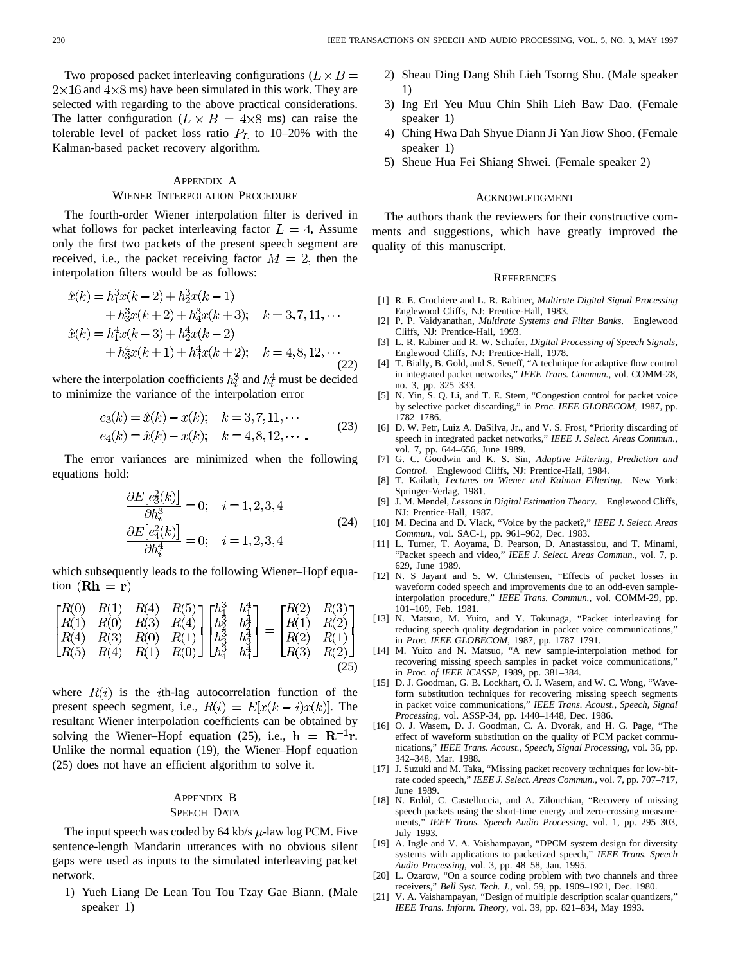Two proposed packet interleaving configurations ( $L \times B =$  $2\times16$  and  $4\times8$  ms) have been simulated in this work. They are selected with regarding to the above practical considerations. The latter configuration ( $L \times B = 4 \times 8$  ms) can raise the tolerable level of packet loss ratio  $P_L$  to 10–20% with the Kalman-based packet recovery algorithm.

# APPENDIX A WIENER INTERPOLATION PROCEDURE

The fourth-order Wiener interpolation filter is derived in what follows for packet interleaving factor  $L = 4$ . Assume only the first two packets of the present speech segment are received, i.e., the packet receiving factor  $M = 2$ , then the interpolation filters would be as follows:

$$
\hat{x}(k) = h_1^3 x(k-2) + h_2^3 x(k-1) \n+ h_3^3 x(k+2) + h_4^3 x(k+3); \quad k = 3, 7, 11, \cdots \n\hat{x}(k) = h_1^4 x(k-3) + h_2^4 x(k-2) \n+ h_3^4 x(k+1) + h_4^4 x(k+2); \quad k = 4, 8, 12, \cdots
$$
\n(22)

where the interpolation coefficients  $h_i^3$  and  $h_i^4$  must be decided to minimize the variance of the interpolation error

$$
e_3(k) = \hat{x}(k) - x(k); \quad k = 3, 7, 11, \cdots
$$
  

$$
e_4(k) = \hat{x}(k) - x(k); \quad k = 4, 8, 12, \cdots
$$
 (23)

The error variances are minimized when the following equations hold:

$$
\frac{\partial E[e_3^2(k)]}{\partial h_i^3} = 0; \quad i = 1, 2, 3, 4
$$
\n
$$
\frac{\partial E[e_4^2(k)]}{\partial h_i^4} = 0; \quad i = 1, 2, 3, 4
$$
\n(24)

 $\omega \sim 1$ 

which subsequently leads to the following Wiener–Hopf equation  $(Rh = r)$ 

s is.

$$
\begin{bmatrix}\nR(0) & R(1) & R(4) & R(5) \\
R(1) & R(0) & R(3) & R(4) \\
R(4) & R(3) & R(0) & R(1) \\
R(5) & R(4) & R(1) & R(0)\n\end{bmatrix}\n\begin{bmatrix}\nh_1^3 & h_1^4 \\
h_2^3 & h_2^4 \\
h_3^3 & h_3^4 \\
h_4^3 & h_4^4\n\end{bmatrix} =\n\begin{bmatrix}\nR(2) & R(3) \\
R(1) & R(2) \\
R(2) & R(1) \\
R(3) & R(2)\n\end{bmatrix}
$$
\n(25)

where  $R(i)$  is the *i*th-lag autocorrelation function of the present speech segment, i.e.,  $R(i) = E[x(k - i)x(k)]$ . The resultant Wiener interpolation coefficients can be obtained by solving the Wiener–Hopf equation (25), i.e.,  $h = R^{-1}r$ . Unlike the normal equation (19), the Wiener–Hopf equation (25) does not have an efficient algorithm to solve it.

# APPENDIX B SPEECH DATA

The input speech was coded by 64 kb/s  $\mu$ -law log PCM. Five sentence-length Mandarin utterances with no obvious silent gaps were used as inputs to the simulated interleaving packet network.

1) Yueh Liang De Lean Tou Tou Tzay Gae Biann. (Male speaker 1)

- 2) Sheau Ding Dang Shih Lieh Tsorng Shu. (Male speaker 1)
- 3) Ing Erl Yeu Muu Chin Shih Lieh Baw Dao. (Female speaker 1)
- 4) Ching Hwa Dah Shyue Diann Ji Yan Jiow Shoo. (Female speaker 1)
- 5) Sheue Hua Fei Shiang Shwei. (Female speaker 2)

#### ACKNOWLEDGMENT

The authors thank the reviewers for their constructive comments and suggestions, which have greatly improved the quality of this manuscript.

#### **REFERENCES**

- [1] R. E. Crochiere and L. R. Rabiner, *Multirate Digital Signal Processing* Englewood Cliffs, NJ: Prentice-Hall, 1983.
- [2] P. P. Vaidyanathan, *Multirate Systems and Filter Banks*. Englewood Cliffs, NJ: Prentice-Hall, 1993.
- [3] L. R. Rabiner and R. W. Schafer, *Digital Processing of Speech Signals*, Englewood Cliffs, NJ: Prentice-Hall, 1978.
- [4] T. Bially, B. Gold, and S. Seneff, "A technique for adaptive flow control in integrated packet networks," *IEEE Trans. Commun.*, vol. COMM-28, no. 3, pp. 325–333.
- [5] N. Yin, S. Q. Li, and T. E. Stern, "Congestion control for packet voice by selective packet discarding," in *Proc. IEEE GLOBECOM*, 1987, pp. 1782–1786.
- [6] D. W. Petr, Luiz A. DaSilva, Jr., and V. S. Frost, "Priority discarding of speech in integrated packet networks," *IEEE J. Select. Areas Commun.*, vol. 7, pp. 644–656, June 1989.
- [7] G. C. Goodwin and K. S. Sin, *Adaptive Filtering, Prediction and Control*. Englewood Cliffs, NJ: Prentice-Hall, 1984.
- [8] T. Kailath, *Lectures on Wiener and Kalman Filtering*. New York: Springer-Verlag, 1981.
- [9] J. M. Mendel, *Lessons in Digital Estimation Theory*. Englewood Cliffs, NJ: Prentice-Hall, 1987.
- [10] M. Decina and D. Vlack, "Voice by the packet?," *IEEE J. Select. Areas Commun.*, vol. SAC-1, pp. 961–962, Dec. 1983.
- [11] L. Turner, T. Aoyama, D. Pearson, D. Anastassiou, and T. Minami, "Packet speech and video," *IEEE J. Select. Areas Commun.*, vol. 7, p. 629, June 1989.
- [12] N. S Jayant and S. W. Christensen, "Effects of packet losses in waveform coded speech and improvements due to an odd-even sampleinterpolation procedure," *IEEE Trans. Commun.*, vol. COMM-29, pp. 101–109, Feb. 1981.
- [13] N. Matsuo, M. Yuito, and Y. Tokunaga, "Packet interleaving for reducing speech quality degradation in packet voice communications," in *Proc. IEEE GLOBECOM*, 1987, pp. 1787–1791.
- [14] M. Yuito and N. Matsuo, "A new sample-interpolation method for recovering missing speech samples in packet voice communications," in *Proc. of IEEE ICASSP*, 1989, pp. 381–384.
- [15] D. J. Goodman, G. B. Lockhart, O. J. Wasem, and W. C. Wong, "Waveform substitution techniques for recovering missing speech segments in packet voice communications," *IEEE Trans. Acoust., Speech, Signal Processing*, vol. ASSP-34, pp. 1440–1448, Dec. 1986.
- [16] O. J. Wasem, D. J. Goodman, C. A. Dvorak, and H. G. Page, "The effect of waveform substitution on the quality of PCM packet communications," *IEEE Trans. Acoust., Speech, Signal Processing*, vol. 36, pp. 342–348, Mar. 1988.
- [17] J. Suzuki and M. Taka, "Missing packet recovery techniques for low-bitrate coded speech," *IEEE J. Select. Areas Commun.*, vol. 7, pp. 707–717, June 1989.
- [18] N. Erdöl, C. Castelluccia, and A. Zilouchian, "Recovery of missing speech packets using the short-time energy and zero-crossing measurements," *IEEE Trans. Speech Audio Processing*, vol. 1, pp. 295–303, July 1993.
- [19] A. Ingle and V. A. Vaishampayan, "DPCM system design for diversity systems with applications to packetized speech," *IEEE Trans. Speech Audio Processing*, vol. 3, pp. 48–58, Jan. 1995.
- [20] L. Ozarow, "On a source coding problem with two channels and three receivers," *Bell Syst. Tech. J.*, vol. 59, pp. 1909–1921, Dec. 1980.
- [21] V. A. Vaishampayan, "Design of multiple description scalar quantizers," *IEEE Trans. Inform. Theory*, vol. 39, pp. 821–834, May 1993.